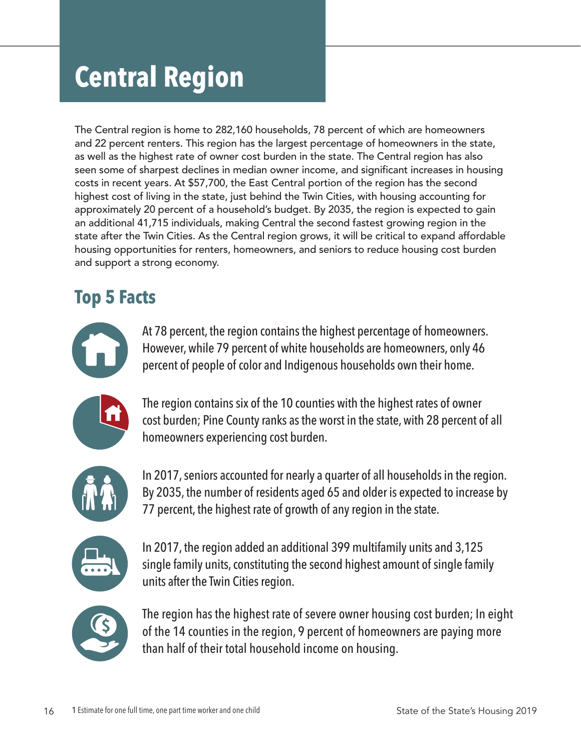# **Central Region**

The Central region is home to 282,160 households, 78 percent of which are homeowners and 22 percent renters. This region has the largest percentage of homeowners in the state, as well as the highest rate of owner cost burden in the state. The Central region has also seen some of sharpest declines in median owner income, and significant increases in housing costs in recent years. At \$57,700, the East Central portion of the region has the second highest cost of living in the state, just behind the Twin Cities, with housing accounting for approximately 20 percent of a household's budget. By 2035, the region is expected to gain an additional 41,715 individuals, making Central the second fastest growing region in the state after the Twin Cities. As the Central region grows, it will be critical to expand affordable housing opportunities for renters, homeowners, and seniors to reduce housing cost burden and support a strong economy.

## **Top 5 Facts**



At 78 percent, the region contains the highest percentage of homeowners. However, while 79 percent of white households are homeowners, only 46 percent of people of color and Indigenous households own their home.



The region contains six of the 10 counties with the highest rates of owner cost burden; Pine County ranks as the worst in the state, with 28 percent of all homeowners experiencing cost burden.



In 2017, seniors accounted for nearly a quarter of all households in the region. By 2035, the number of residents aged 65 and older is expected to increase by 77 percent, the highest rate of growth of any region in the state.



In 2017, the region added an additional 399 multifamily units and 3,125 single family units, constituting the second highest amount of single family units after the Twin Cities region.



The region has the highest rate of severe owner housing cost burden; In eight of the 14 counties in the region, 9 percent of homeowners are paying more than half of their total household income on housing.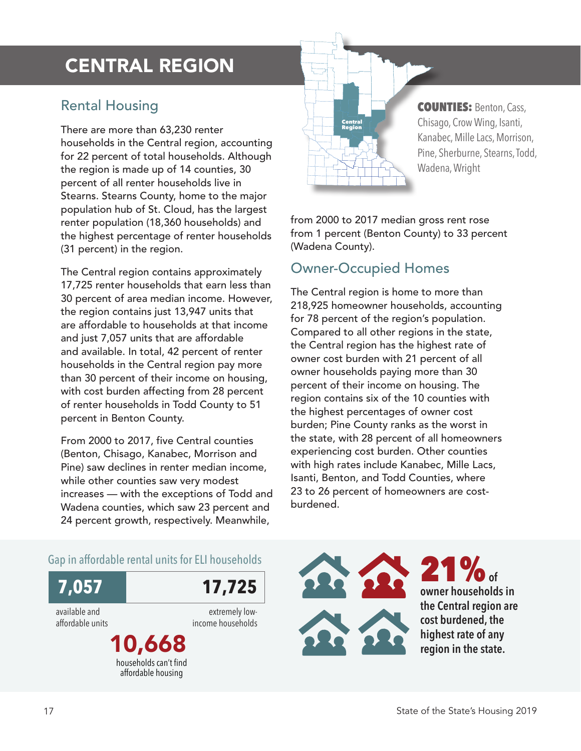## CENTRAL REGION

#### Rental Housing

There are more than 63,230 renter households in the Central region, accounting for 22 percent of total households. Although the region is made up of 14 counties, 30 percent of all renter households live in Stearns. Stearns County, home to the major population hub of St. Cloud, has the largest renter population (18,360 households) and the highest percentage of renter households (31 percent) in the region.

The Central region contains approximately 17,725 renter households that earn less than 30 percent of area median income. However, the region contains just 13,947 units that are affordable to households at that income and just 7,057 units that are affordable and available. In total, 42 percent of renter households in the Central region pay more than 30 percent of their income on housing, with cost burden affecting from 28 percent of renter households in Todd County to 51 percent in Benton County.

From 2000 to 2017, five Central counties (Benton, Chisago, Kanabec, Morrison and Pine) saw declines in renter median income, while other counties saw very modest increases — with the exceptions of Todd and Wadena counties, which saw 23 percent and 24 percent growth, respectively. Meanwhile,

**Central** Region COUNTIES: Benton, Cass, Chisago, Crow Wing, Isanti, Kanabec, Mille Lacs, Morrison, Pine, Sherburne, Stearns, Todd, Wadena, Wright

from 2000 to 2017 median gross rent rose from 1 percent (Benton County) to 33 percent (Wadena County).

#### Owner-Occupied Homes

The Central region is home to more than 218,925 homeowner households, accounting for 78 percent of the region's population. Compared to all other regions in the state, the Central region has the highest rate of owner cost burden with 21 percent of all owner households paying more than 30 percent of their income on housing. The region contains six of the 10 counties with the highest percentages of owner cost burden; Pine County ranks as the worst in the state, with 28 percent of all homeowners experiencing cost burden. Other counties with high rates include Kanabec, Mille Lacs, Isanti, Benton, and Todd Counties, where 23 to 26 percent of homeowners are costburdened.

#### Gap in affordable rental units for ELI households



available and affordable units

extremely lowincome households

10,668 households can't find affordable housing

21%**of owner households in the Central region are cost burdened, the highest rate of any region in the state.**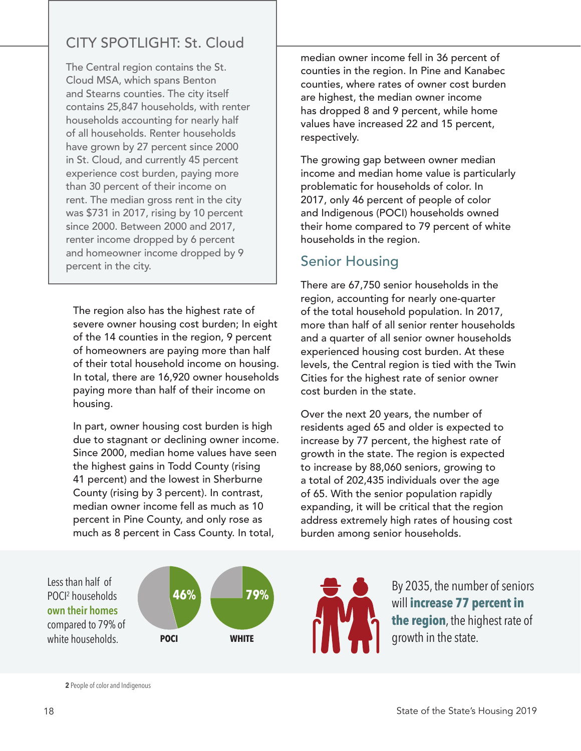### CITY SPOTLIGHT: St. Cloud

The Central region contains the St. Cloud MSA, which spans Benton and Stearns counties. The city itself contains 25,847 households, with renter households accounting for nearly half of all households. Renter households have grown by 27 percent since 2000 in St. Cloud, and currently 45 percent experience cost burden, paying more than 30 percent of their income on rent. The median gross rent in the city was \$731 in 2017, rising by 10 percent since 2000. Between 2000 and 2017, renter income dropped by 6 percent and homeowner income dropped by 9 percent in the city.

The region also has the highest rate of severe owner housing cost burden; In eight of the 14 counties in the region, 9 percent of homeowners are paying more than half of their total household income on housing. In total, there are 16,920 owner households paying more than half of their income on housing.

In part, owner housing cost burden is high due to stagnant or declining owner income. Since 2000, median home values have seen the highest gains in Todd County (rising 41 percent) and the lowest in Sherburne County (rising by 3 percent). In contrast, median owner income fell as much as 10 percent in Pine County, and only rose as much as 8 percent in Cass County. In total,

median owner income fell in 36 percent of counties in the region. In Pine and Kanabec counties, where rates of owner cost burden are highest, the median owner income has dropped 8 and 9 percent, while home values have increased 22 and 15 percent, respectively.

The growing gap between owner median income and median home value is particularly problematic for households of color. In 2017, only 46 percent of people of color and Indigenous (POCI) households owned their home compared to 79 percent of white households in the region.

#### Senior Housing

There are 67,750 senior households in the region, accounting for nearly one-quarter of the total household population. In 2017, more than half of all senior renter households and a quarter of all senior owner households experienced housing cost burden. At these levels, the Central region is tied with the Twin Cities for the highest rate of senior owner cost burden in the state.

Over the next 20 years, the number of residents aged 65 and older is expected to increase by 77 percent, the highest rate of growth in the state. The region is expected to increase by 88,060 seniors, growing to a total of 202,435 individuals over the age of 65. With the senior population rapidly expanding, it will be critical that the region address extremely high rates of housing cost burden among senior households.

Less than half of POCI2 households **own their homes** compared to 79% of white households.





**2** People of color and Indigenous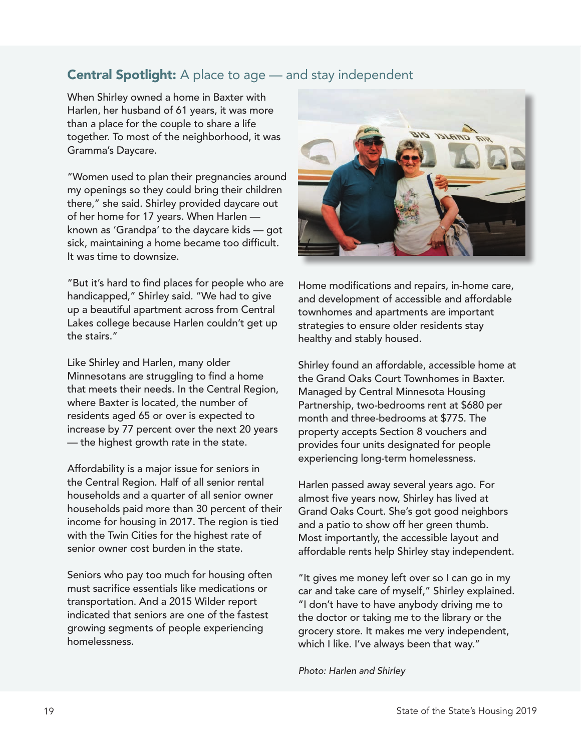#### **Central Spotlight:** A place to age — and stay independent

When Shirley owned a home in Baxter with Harlen, her husband of 61 years, it was more than a place for the couple to share a life together. To most of the neighborhood, it was Gramma's Daycare.

"Women used to plan their pregnancies around my openings so they could bring their children there," she said. Shirley provided daycare out of her home for 17 years. When Harlen known as 'Grandpa' to the daycare kids — got sick, maintaining a home became too difficult. It was time to downsize.

"But it's hard to find places for people who are handicapped," Shirley said. "We had to give up a beautiful apartment across from Central Lakes college because Harlen couldn't get up the stairs."

Like Shirley and Harlen, many older Minnesotans are struggling to find a home that meets their needs. In the Central Region, where Baxter is located, the number of residents aged 65 or over is expected to increase by 77 percent over the next 20 years — the highest growth rate in the state.

Affordability is a major issue for seniors in the Central Region. Half of all senior rental households and a quarter of all senior owner households paid more than 30 percent of their income for housing in 2017. The region is tied with the Twin Cities for the highest rate of senior owner cost burden in the state.

Seniors who pay too much for housing often must sacrifice essentials like medications or transportation. And a 2015 Wilder report indicated that seniors are one of the fastest growing segments of people experiencing homelessness.



Home modifications and repairs, in-home care, and development of accessible and affordable townhomes and apartments are important strategies to ensure older residents stay healthy and stably housed.

Shirley found an affordable, accessible home at the Grand Oaks Court Townhomes in Baxter. Managed by Central Minnesota Housing Partnership, two-bedrooms rent at \$680 per month and three-bedrooms at \$775. The property accepts Section 8 vouchers and provides four units designated for people experiencing long-term homelessness.

Harlen passed away several years ago. For almost five years now, Shirley has lived at Grand Oaks Court. She's got good neighbors and a patio to show off her green thumb. Most importantly, the accessible layout and affordable rents help Shirley stay independent.

"It gives me money left over so I can go in my car and take care of myself," Shirley explained. "I don't have to have anybody driving me to the doctor or taking me to the library or the grocery store. It makes me very independent, which I like. I've always been that way."

#### *Photo: Harlen and Shirley*